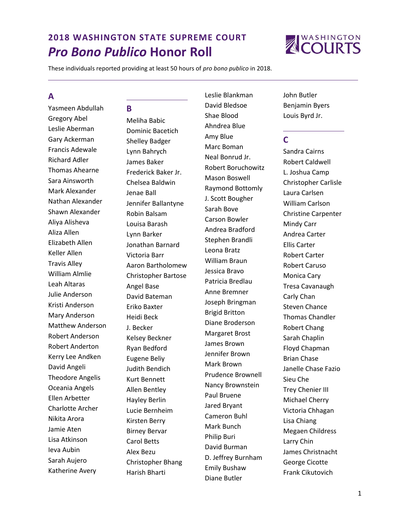

These individuals reported providing at least 50 hours of *pro bono publico* in 2018.

# **A**

Yasmeen Abdullah Gregory Abel Leslie Aberman Gary Ackerman Francis Adewale Richard Adler Thomas Ahearne Sara Ainsworth Mark Alexander Nathan Alexander Shawn Alexander Aliya Alisheva Aliza Allen Elizabeth Allen Keller Allen Travis Alley William Almlie Leah Altaras Julie Anderson Kristi Anderson Mary Anderson Matthew Anderson Robert Anderson Robert Anderton Kerry Lee Andken David Angeli Theodore Angelis Oceania Angels Ellen Arbetter Charlotte Archer Nikita Arora Jamie Aten Lisa Atkinson Ieva Aubin Sarah Aujero Katherine Avery

#### **B**

Meliha Babic Dominic Bacetich Shelley Badger Lynn Bahrych James Baker Frederick Baker Jr. Chelsea Baldwin Jenae Ball Jennifer Ballantyne Robin Balsam Louisa Barash Lynn Barker Jonathan Barnard Victoria Barr Aaron Bartholomew Christopher Bartose Angel Base David Bateman Eriko Baxter Heidi Beck J. Becker Kelsey Beckner Ryan Bedford Eugene Beliy Judith Bendich Kurt Bennett Allen Bentley Hayley Berlin Lucie Bernheim Kirsten Berry Birney Bervar Carol Betts Alex Bezu Christopher Bhang Harish Bharti

Leslie Blankman David Bledsoe Shae Blood Ahndrea Blue Amy Blue Marc Boman Neal Bonrud Jr. Robert Boruchowitz Mason Boswell Raymond Bottomly J. Scott Bougher Sarah Bove Carson Bowler Andrea Bradford Stephen Brandli Leona Bratz William Braun Jessica Bravo Patricia Bredlau Anne Bremner Joseph Bringman Brigid Britton Diane Broderson Margaret Brost James Brown Jennifer Brown Mark Brown Prudence Brownell Nancy Brownstein Paul Bruene Jared Bryant Cameron Buhl Mark Bunch Philip Buri David Burman D. Jeffrey Burnham Emily Bushaw Diane Butler

John Butler Benjamin Byers Louis Byrd Jr.

# **C**

Sandra Cairns Robert Caldwell L. Joshua Camp Christopher Carlisle Laura Carlsen William Carlson Christine Carpenter Mindy Carr Andrea Carter Ellis Carter Robert Carter Robert Caruso Monica Cary Tresa Cavanaugh Carly Chan Steven Chance Thomas Chandler Robert Chang Sarah Chaplin Floyd Chapman Brian Chase Janelle Chase Fazio Sieu Che Trey Chenier III Michael Cherry Victoria Chhagan Lisa Chiang Megaen Childress Larry Chin James Christnacht George Cicotte Frank Cikutovich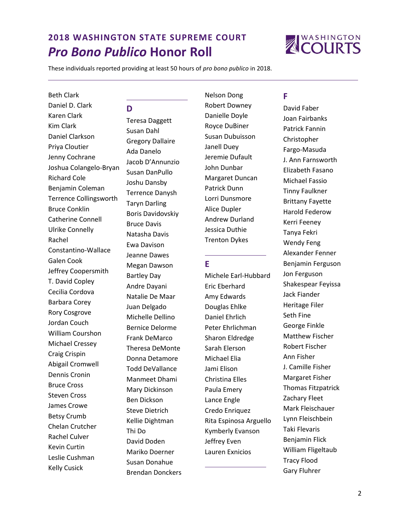

These individuals reported providing at least 50 hours of *pro bono publico* in 2018.

#### Beth Clark

Daniel D. Clark Karen Clark Kim Clark Daniel Clarkson Priya Cloutier Jenny Cochrane Joshua Colangelo-Bryan Richard Cole Benjamin Coleman Terrence Collingsworth Bruce Conklin Catherine Connell Ulrike Connelly Rachel Constantino-Wallace Galen Cook Jeffrey Coopersmith T. David Copley Cecilia Cordova Barbara Corey Rory Cosgrove Jordan Couch William Courshon Michael Cressey Craig Crispin Abigail Cromwell Dennis Cronin Bruce Cross Steven Cross James Crowe Betsy Crumb Chelan Crutcher Rachel Culver Kevin Curtin Leslie Cushman Kelly Cusick

## **D**

Teresa Daggett Susan Dahl Gregory Dallaire Ada Danelo Jacob D'Annunzio Susan DanPullo Joshu Dansby Terrence Danysh Taryn Darling Boris Davidovskiy Bruce Davis Natasha Davis Ewa Davison Jeanne Dawes Megan Dawson Bartley Day Andre Dayani Natalie De Maar Juan Delgado Michelle Dellino Bernice Delorme Frank DeMarco Theresa DeMonte Donna Detamore Todd DeVallance Manmeet Dhami Mary Dickinson Ben Dickson Steve Dietrich Kellie Dightman Thi Do David Doden Mariko Doerner Susan Donahue Brendan Donckers Nelson Dong Robert Downey Danielle Doyle Royce DuBiner Susan Dubuisson Janell Duey Jeremie Dufault John Dunbar Margaret Duncan Patrick Dunn Lorri Dunsmore Alice Dupler Andrew Durland Jessica Duthie Trenton Dykes

#### **E**

Michele Earl-Hubbard Eric Eberhard Amy Edwards Douglas Ehlke Daniel Ehrlich Peter Ehrlichman Sharon Eldredge Sarah Elerson Michael Elia Jami Elison Christina Elles Paula Emery Lance Engle Credo Enriquez Rita Espinosa Arguello Kymberly Evanson Jeffrey Even Lauren Exnicios

# **F**

David Faber Joan Fairbanks Patrick Fannin Christopher Fargo-Masuda J. Ann Farnsworth Elizabeth Fasano Michael Fassio Tinny Faulkner Brittany Fayette Harold Federow Kerri Feeney Tanya Fekri Wendy Feng Alexander Fenner Benjamin Ferguson Jon Ferguson Shakespear Feyissa Jack Fiander Heritage Filer Seth Fine George Finkle Matthew Fischer Robert Fischer Ann Fisher J. Camille Fisher Margaret Fisher Thomas Fitzpatrick Zachary Fleet Mark Fleischauer Lynn Fleischbein Taki Flevaris Benjamin Flick William Fligeltaub Tracy Flood Gary Fluhrer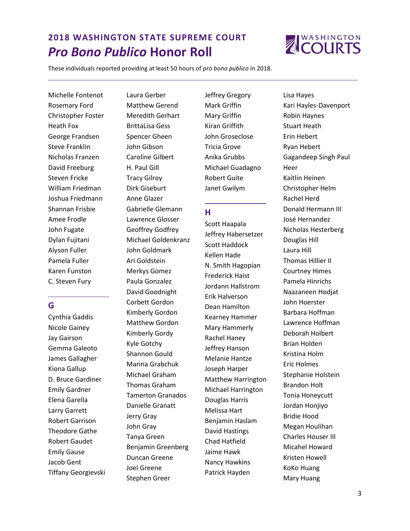

These individuals reported providing at least 50 hours of *pro bono publico* in 2018.

Michelle Fontenot Rosemary Ford Christopher Foster Heath Fox George Frandsen Steve Franklin Nicholas Franzen David Freeburg Steven Fricke William Friedman Joshua Friedmann Shannan Frisbie Amee Frodle John Fugate Dylan Fujitani Alyson Fuller Pamela Fuller Karen Funston C. Steven Fury

# **G**

Cynthia Gaddis Nicole Gainey Jay Gairson Gemma Galeoto James Gallagher Kiona Gallup D. Bruce Gardiner Emily Gardner Elena Garella Larry Garrett Robert Garrison Theodore Gathe Robert Gaudet Emily Gause Jacob Gent Tiffany Georgievski

Laura Gerber Matthew Gerend Meredith Gerhart BrittaLisa Gess Spencer Gheen John Gibson Caroline Gilbert H. Paul Gill Tracy Gilroy Dirk Giseburt Anne Glazer Gabrielle Glemann Lawrence Glosser Geoffrey Godfrey Michael Goldenkranz John Goldmark Ari Goldstein Merkys Gomez Paula Gonzalez David Goodnight Corbett Gordon Kimberly Gordon Matthew Gordon Kimberly Gordy Kyle Gotchy Shannon Gould Marina Grabchuk Michael Graham Thomas Graham Tamerton Granados Danielle Granatt Jerry Gray John Gray Tanya Green Benjamin Greenberg Duncan Greene Joel Greene Stephen Greer

Jeffrey Gregory Mark Griffin Mary Griffin Kiran Griffith John Groseclose Tricia Grove Anika Grubbs Michael Guadagno Robert Guite Janet Gwilym

### **H**

Scott Haapala Jeffrey Habersetzer Scott Haddock Kellen Hade N. Smith Hagopian Frederick Haist Jordann Hallstrom Erik Halverson Dean Hamilton Kearney Hammer Mary Hammerly Rachel Haney Jeffrey Hanson Melanie Hantze Joseph Harper Matthew Harrington Michael Harrington Douglas Harris Melissa Hart Benjamin Haslam David Hastings Chad Hatfield Jaime Hawk Nancy Hawkins Patrick Hayden

Lisa Hayes Kari Hayles-Davenport Robin Haynes Stuart Heath Erin Hebert Ryan Hebert Gagandeep Singh Paul Heer Kaitlin Heinen Christopher Helm Rachel Herd Donald Hermann III José Hernandez Nicholas Hesterberg Douglas Hill Laura Hill Thomas Hillier II Courtney Himes Pamela Hinrichs Naazaneen Hodjat John Hoerster Barbara Hoffman Lawrence Hoffman Deborah Holbert Brian Holden Kristina Holm Eric Holmes Stephanie Holstein Brandon Holt Tonia Honeycutt Jordan Honjiyo Bridie Hood Megan Houlihan Charles Houser III Micahel Howard Kristen Howell KoKo Huang Mary Huang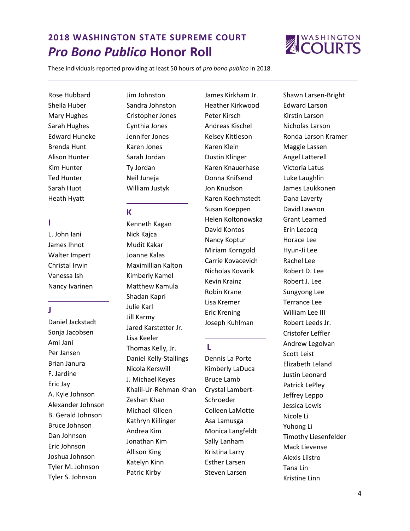

These individuals reported providing at least 50 hours of *pro bono publico* in 2018.

Rose Hubbard Sheila Huber Mary Hughes Sarah Hughes Edward Huneke Brenda Hunt Alison Hunter Kim Hunter Ted Hunter Sarah Huot Heath Hyatt

**I**

L. John Iani James Ihnot Walter Impert Christal Irwin Vanessa Ish Nancy Ivarinen

**J**

Daniel Jackstadt Sonja Jacobsen Ami Jani Per Jansen Brian Janura F. Jardine Eric Jay A. Kyle Johnson Alexander Johnson B. Gerald Johnson Bruce Johnson Dan Johnson Eric Johnson Joshua Johnson Tyler M. Johnson Tyler S. Johnson

Jim Johnston Sandra Johnston Cristopher Jones Cynthia Jones Jennifer Jones Karen Jones Sarah Jordan Ty Jordan Neil Juneja William Justyk

#### **K**

Kenneth Kagan Nick Kajca Mudit Kakar Joanne Kalas Maximillian Kalton Kimberly Kamel Matthew Kamula Shadan Kapri Julie Karl Jill Karmy Jared Karstetter Jr. Lisa Keeler Thomas Kelly, Jr. Daniel Kelly-Stallings Nicola Kerswill J. Michael Keyes Khalil-Ur-Rehman Khan Zeshan Khan Michael Killeen Kathryn Killinger Andrea Kim Jonathan Kim Allison King Katelyn Kinn Patric Kirby

James Kirkham Jr. Heather Kirkwood Peter Kirsch Andreas Kischel Kelsey Kittleson Karen Klein Dustin Klinger Karen Knauerhase Donna Knifsend Jon Knudson Karen Koehmstedt Susan Koeppen Helen Koltonowska David Kontos Nancy Koptur Miriam Korngold Carrie Kovacevich Nicholas Kovarik Kevin Krainz Robin Krane Lisa Kremer Eric Krening Joseph Kuhlman

## **L**

Dennis La Porte Kimberly LaDuca Bruce Lamb Crystal Lambert-Schroeder Colleen LaMotte Asa Lamusga Monica Langfeldt Sally Lanham Kristina Larry Esther Larsen Steven Larsen

Shawn Larsen-Bright Edward Larson Kirstin Larson Nicholas Larson Ronda Larson Kramer Maggie Lassen Angel Latterell Victoria Latus Luke Laughlin James Laukkonen Dana Laverty David Lawson Grant Learned Erin Lecocq Horace Lee Hyun-Ji Lee Rachel Lee Robert D. Lee Robert J. Lee Sungyong Lee Terrance Lee William Lee III Robert Leeds Jr. Cristofer Leffler Andrew Legolvan Scott Leist Elizabeth Leland Justin Leonard Patrick LePley Jeffrey Leppo Jessica Lewis Nicole Li Yuhong Li Timothy Liesenfelder Mack Lievense Alexis Liistro Tana Lin Kristine Linn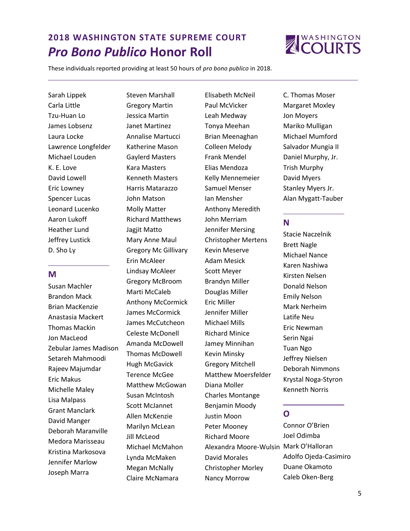

These individuals reported providing at least 50 hours of *pro bono publico* in 2018.

Sarah Lippek Carla Little Tzu-Huan Lo James Lobsenz Laura Locke Lawrence Longfelder Michael Louden K. E. Love David Lowell Eric Lowney Spencer Lucas Leonard Lucenko Aaron Lukoff Heather Lund Jeffrey Lustick D. Sho Ly

#### **M**

Susan Machler Brandon Mack Brian MacKenzie Anastasia Mackert Thomas Mackin Jon MacLeod Zebular James Madison Setareh Mahmoodi Rajeev Majumdar Eric Makus Michelle Maley Lisa Malpass Grant Manclark David Manger Deborah Maranville Medora Marisseau Kristina Markosova Jennifer Marlow Joseph Marra

Steven Marshall Gregory Martin Jessica Martin Janet Martinez Annalise Martucci Katherine Mason Gaylerd Masters Kara Masters Kenneth Masters Harris Matarazzo John Matson Molly Matter Richard Matthews Jagjit Matto Mary Anne Maul Gregory Mc Gillivary Erin McAleer Lindsay McAleer Gregory McBroom Marti McCaleb Anthony McCormick James McCormick James McCutcheon Celeste McDonell Amanda McDowell Thomas McDowell Hugh McGavick Terence McGee Matthew McGowan Susan McIntosh Scott McJannet Allen McKenzie Marilyn McLean Jill McLeod Michael McMahon Lynda McMaken Megan McNally Claire McNamara

Elisabeth McNeil Paul McVicker Leah Medway Tonya Meehan Brian Meenaghan Colleen Melody Frank Mendel Elias Mendoza Kelly Mennemeier Samuel Menser Ian Mensher Anthony Meredith John Merriam Jennifer Mersing Christopher Mertens Kevin Meserve Adam Mesick Scott Meyer Brandyn Miller Douglas Miller Eric Miller Jennifer Miller Michael Mills Richard Minice Jamey Minnihan Kevin Minsky Gregory Mitchell Matthew Moersfelder Diana Moller Charles Montange Benjamin Moody Justin Moon Peter Mooney Richard Moore Alexandra Moore-Wulsin Mark O'Halloran David Morales Christopher Morley Nancy Morrow

C. Thomas Moser Margaret Moxley Jon Moyers Mariko Mulligan Michael Mumford Salvador Mungia II Daniel Murphy, Jr. Trish Murphy David Myers Stanley Myers Jr. Alan Mygatt-Tauber

#### **N**

Stacie Naczelnik Brett Nagle Michael Nance Karen Nashiwa Kirsten Nelsen Donald Nelson Emily Nelson Mark Nerheim Latife Neu Eric Newman Serin Ngai Tuan Ngo Jeffrey Nielsen Deborah Nimmons Krystal Noga-Styron Kenneth Norris

# **O**

Connor O'Brien Joel Odimba Adolfo Ojeda-Casimiro Duane Okamoto Caleb Oken-Berg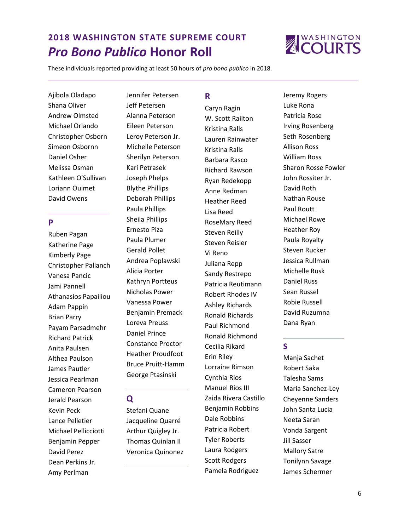

These individuals reported providing at least 50 hours of *pro bono publico* in 2018.

Ajibola Oladapo Shana Oliver Andrew Olmsted Michael Orlando Christopher Osborn Simeon Osbornn Daniel Osher Melissa Osman Kathleen O'Sullivan Loriann Ouimet David Owens

#### **P**

Ruben Pagan Katherine Page Kimberly Page Christopher Pallanch Vanesa Pancic Jami Pannell Athanasios Papailiou Adam Pappin Brian Parry Payam Parsadmehr Richard Patrick Anita Paulsen Althea Paulson James Pautler Jessica Pearlman Cameron Pearson Jerald Pearson Kevin Peck Lance Pelletier Michael Pellicciotti Benjamin Pepper David Perez Dean Perkins Jr. Amy Perlman

Jennifer Petersen Jeff Petersen Alanna Peterson Eileen Peterson Leroy Peterson Jr. Michelle Peterson Sherilyn Peterson Kari Petrasek Joseph Phelps Blythe Phillips Deborah Phillips Paula Phillips Sheila Phillips Ernesto Piza Paula Plumer Gerald Pollet Andrea Poplawski Alicia Porter Kathryn Portteus Nicholas Power Vanessa Power Benjamin Premack Loreva Preuss Daniel Prince Constance Proctor Heather Proudfoot Bruce Pruitt-Hamm George Ptasinski

## **Q**

Stefani Quane Jacqueline Quarré Arthur Quigley Jr. Thomas Quinlan II Veronica Quinonez

# **R**

Caryn Ragin W. Scott Railton Kristina Ralls Lauren Rainwater Kristina Ralls Barbara Rasco Richard Rawson Ryan Redekopp Anne Redman Heather Reed Lisa Reed RoseMary Reed Steven Reilly Steven Reisler Vi Reno Juliana Repp Sandy Restrepo Patricia Reutimann Robert Rhodes IV Ashley Richards Ronald Richards Paul Richmond Ronald Richmond Cecilia Rikard Erin Riley Lorraine Rimson Cynthia Rios Manuel Rios III Zaida Rivera Castillo Benjamin Robbins Dale Robbins Patricia Robert Tyler Roberts Laura Rodgers Scott Rodgers Pamela Rodriguez

Jeremy Rogers Luke Rona Patricia Rose Irving Rosenberg Seth Rosenberg Allison Ross William Ross Sharon Rosse Fowler John Rossiter Jr. David Roth Nathan Rouse Paul Routt Michael Rowe Heather Roy Paula Royalty Steven Rucker Jessica Rullman Michelle Rusk Daniel Russ Sean Russel Robie Russell David Ruzumna Dana Ryan

# **S**

Manja Sachet Robert Saka Talesha Sams Maria Sanchez-Ley Cheyenne Sanders John Santa Lucia Neeta Saran Vonda Sargent Jill Sasser Mallory Satre Tonilynn Savage James Schermer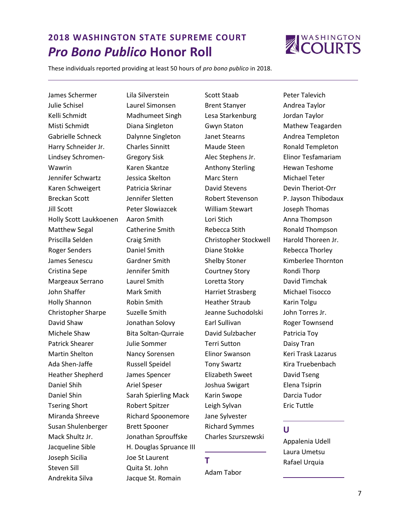

These individuals reported providing at least 50 hours of *pro bono publico* in 2018.

James Schermer Julie Schisel Kelli Schmidt Misti Schmidt Gabrielle Schneck Harry Schneider Jr. Lindsey Schromen-Wawrin Jennifer Schwartz Karen Schweigert Breckan Scott Jill Scott Holly Scott Laukkoenen Matthew Segal Priscilla Selden Roger Senders James Senescu Cristina Sepe Margeaux Serrano John Shaffer Holly Shannon Christopher Sharpe David Shaw Michele Shaw Patrick Shearer Martin Shelton Ada Shen-Jaffe Heather Shepherd Daniel Shih Daniel Shin Tsering Short Miranda Shreeve Susan Shulenberger Mack Shultz Jr. Jacqueline Sible Joseph Sicilia Steven Sill Andrekita Silva

Lila Silverstein Laurel Simonsen Madhumeet Singh Diana Singleton Dalynne Singleton Charles Sinnitt Gregory Sisk Karen Skantze Jessica Skelton Patricia Skrinar Jennifer Sletten Peter Slowiazcek Aaron Smith Catherine Smith Craig Smith Daniel Smith Gardner Smith Jennifer Smith Laurel Smith Mark Smith Robin Smith Suzelle Smith Jonathan Solovy Bita Soltan-Qurraie Julie Sommer Nancy Sorensen Russell Speidel James Spencer Ariel Speser Sarah Spierling Mack Robert Spitzer Richard Spoonemore Brett Spooner Jonathan Sprouffske H. Douglas Spruance III Joe St Laurent Quita St. John Jacque St. Romain

Scott Staab Brent Stanyer Lesa Starkenburg Gwyn Staton Janet Stearns Maude Steen Alec Stephens Jr. Anthony Sterling Marc Stern David Stevens Robert Stevenson William Stewart Lori Stich Rebecca Stith Christopher Stockwell Diane Stokke Shelby Stoner Courtney Story Loretta Story Harriet Strasberg Heather Straub Jeanne Suchodolski Earl Sullivan David Sulzbacher Terri Sutton Elinor Swanson Tony Swartz Elizabeth Sweet Joshua Swigart Karin Swope Leigh Sylvan Jane Sylvester Richard Symmes Charles Szurszewski

# **T**

Adam Tabor

Peter Talevich Andrea Taylor Jordan Taylor Mathew Teagarden Andrea Templeton Ronald Templeton Elinor Tesfamariam Hewan Teshome Michael Teter Devin Theriot-Orr P. Jayson Thibodaux Joseph Thomas Anna Thompson Ronald Thompson Harold Thoreen Jr. Rebecca Thorley Kimberlee Thornton Rondi Thorp David Timchak Michael Tisocco Karin Tolgu John Torres Jr. Roger Townsend Patricia Toy Daisy Tran Keri Trask Lazarus Kira Truebenbach David Tseng Elena Tsiprin Darcia Tudor Eric Tuttle

# **U**

Appalenia Udell Laura Umetsu Rafael Urquia